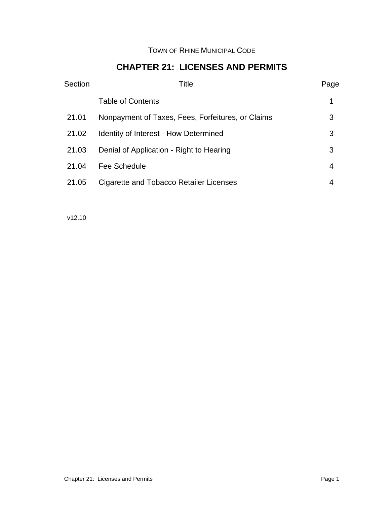## TOWN OF RHINE MUNICIPAL CODE

| Section | Title                                             | Page |
|---------|---------------------------------------------------|------|
|         | <b>Table of Contents</b>                          | 1    |
| 21.01   | Nonpayment of Taxes, Fees, Forfeitures, or Claims | 3    |
| 21.02   | Identity of Interest - How Determined             | 3    |
| 21.03   | Denial of Application - Right to Hearing          | 3    |
| 21.04   | Fee Schedule                                      | 4    |
| 21.05   | Cigarette and Tobacco Retailer Licenses           | 4    |
|         |                                                   |      |

# **CHAPTER 21: LICENSES AND PERMITS**

v12.10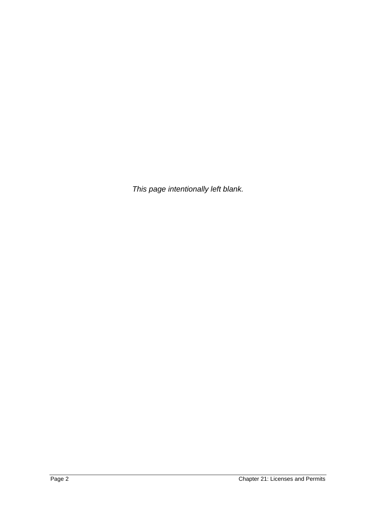*This page intentionally left blank.*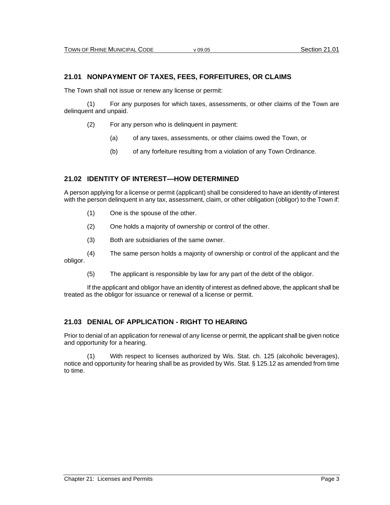#### **21.01 NONPAYMENT OF TAXES, FEES, FORFEITURES, OR CLAIMS**

The Town shall not issue or renew any license or permit:

(1) For any purposes for which taxes, assessments, or other claims of the Town are delinquent and unpaid.

- (2) For any person who is delinquent in payment:
	- (a) of any taxes, assessments, or other claims owed the Town, or
	- (b) of any forfeiture resulting from a violation of any Town Ordinance.

#### **21.02 IDENTITY OF INTEREST—HOW DETERMINED**

A person applying for a license or permit (applicant) shall be considered to have an identity of interest with the person delinquent in any tax, assessment, claim, or other obligation (obligor) to the Town if:

- (1) One is the spouse of the other.
- (2) One holds a majority of ownership or control of the other.
- (3) Both are subsidiaries of the same owner.

(4) The same person holds a majority of ownership or control of the applicant and the obligor.

(5) The applicant is responsible by law for any part of the debt of the obligor.

If the applicant and obligor have an identity of interest as defined above, the applicant shall be treated as the obligor for issuance or renewal of a license or permit.

#### **21.03 DENIAL OF APPLICATION - RIGHT TO HEARING**

Prior to denial of an application for renewal of any license or permit, the applicant shall be given notice and opportunity for a hearing.

(1) With respect to licenses authorized by Wis. Stat. ch. 125 (alcoholic beverages), notice and opportunity for hearing shall be as provided by Wis. Stat. § 125.12 as amended from time to time.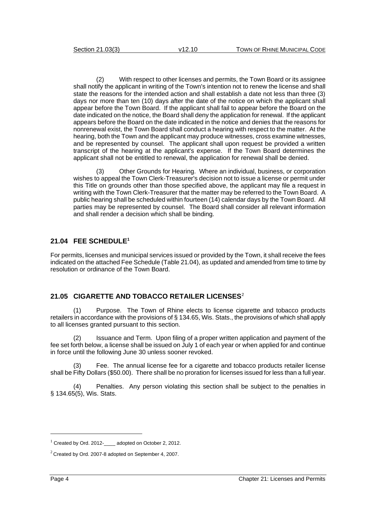(2) With respect to other licenses and permits, the Town Board or its assignee shall notify the applicant in writing of the Town's intention not to renew the license and shall state the reasons for the intended action and shall establish a date not less than three (3) days nor more than ten (10) days after the date of the notice on which the applicant shall appear before the Town Board. If the applicant shall fail to appear before the Board on the date indicated on the notice, the Board shall deny the application for renewal. If the applicant appears before the Board on the date indicated in the notice and denies that the reasons for nonrenewal exist, the Town Board shall conduct a hearing with respect to the matter. At the hearing, both the Town and the applicant may produce witnesses, cross examine witnesses, and be represented by counsel. The applicant shall upon request be provided a written transcript of the hearing at the applicant's expense. If the Town Board determines the applicant shall not be entitled to renewal, the application for renewal shall be denied.

Other Grounds for Hearing. Where an individual, business, or corporation wishes to appeal the Town Clerk-Treasurer's decision not to issue a license or permit under this Title on grounds other than those specified above, the applicant may file a request in writing with the Town Clerk-Treasurer that the matter may be referred to the Town Board. A public hearing shall be scheduled within fourteen (14) calendar days by the Town Board. All parties may be represented by counsel. The Board shall consider all relevant information and shall render a decision which shall be binding.

#### **21.04 FEE SCHEDULE<sup>1</sup>**

For permits, licenses and municipal services issued or provided by the Town, it shall receive the fees indicated on the attached Fee Schedule (Table 21.04), as updated and amended from time to time by resolution or ordinance of the Town Board.

### **21.05 CIGARETTE AND TOBACCO RETAILER LICENSES**<sup>2</sup>

(1) Purpose. The Town of Rhine elects to license cigarette and tobacco products retailers in accordance with the provisions of § 134.65, Wis. Stats., the provisions of which shall apply to all licenses granted pursuant to this section.

(2) Issuance and Term. Upon filing of a proper written application and payment of the fee set forth below, a license shall be issued on July 1 of each year or when applied for and continue in force until the following June 30 unless sooner revoked.

(3) Fee. The annual license fee for a cigarette and tobacco products retailer license shall be Fifty Dollars (\$50.00). There shall be no proration for licenses issued for less than a full year.

(4) Penalties. Any person violating this section shall be subject to the penalties in § 134.65(5), Wis. Stats.

 $\overline{a}$ 

 $1$  Created by Ord. 2012- adopted on October 2, 2012.

 $2$  Created by Ord. 2007-8 adopted on September 4, 2007.